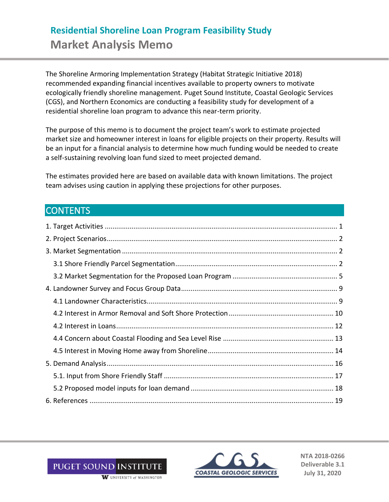# **Residential Shoreline Loan Program Feasibility Study Market Analysis Memo**

The Shoreline Armoring Implementation Strategy (Habitat Strategic Initiative 2018) recommended expanding financial incentives available to property owners to motivate ecologically friendly shoreline management. Puget Sound Institute, Coastal Geologic Services (CGS), and Northern Economics are conducting a feasibility study for development of a residential shoreline loan program to advance this near-term priority.

The purpose of this memo is to document the project team's work to estimate projected market size and homeowner interest in loans for eligible projects on their property. Results will be an input for a financial analysis to determine how much funding would be needed to create a self-sustaining revolving loan fund sized to meet projected demand.

The estimates provided here are based on available data with known limitations. The project team advises using caution in applying these projections for other purposes.

## **CONTENTS**



**NTA 2018-0266 Deliverable 3.1 July 31, 2020**

W UNIVERSITY of WASHINGTON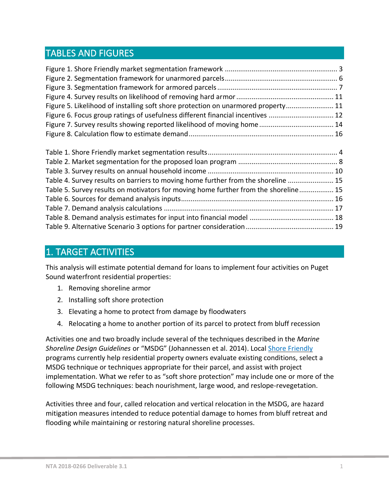## TABLES AND FIGURES

| Figure 5. Likelihood of installing soft shore protection on unarmored property 11   |
|-------------------------------------------------------------------------------------|
| Figure 6. Focus group ratings of usefulness different financial incentives  12      |
|                                                                                     |
|                                                                                     |
|                                                                                     |
|                                                                                     |
|                                                                                     |
|                                                                                     |
|                                                                                     |
| Table 4. Survey results on barriers to moving home further from the shoreline  15   |
| Table 5. Survey results on motivators for moving home further from the shoreline 15 |
|                                                                                     |
|                                                                                     |
|                                                                                     |

## <span id="page-1-0"></span>1. TARGET ACTIVITIES

This analysis will estimate potential demand for loans to implement four activities on Puget Sound waterfront residential properties:

- 1. Removing shoreline armor
- 2. Installing soft shore protection
- 3. Elevating a home to protect from damage by floodwaters
- 4. Relocating a home to another portion of its parcel to protect from bluff recession

Activities one and two broadly include several of the techniques described in the *Marine Shoreline Design Guidelines* or "MSDG" (Johannessen et al. 2014). Local [Shore Friendly](http://www.shorefriendly.org/) programs currently help residential property owners evaluate existing conditions, select a MSDG technique or techniques appropriate for their parcel, and assist with project implementation. What we refer to as "soft shore protection" may include one or more of the following MSDG techniques: beach nourishment, large wood, and reslope-revegetation.

Activities three and four, called relocation and vertical relocation in the MSDG, are hazard mitigation measures intended to reduce potential damage to homes from bluff retreat and flooding while maintaining or restoring natural shoreline processes.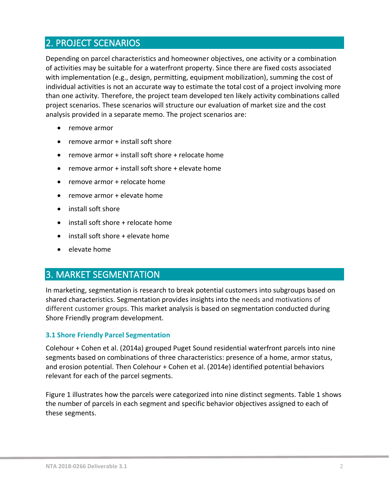## <span id="page-2-0"></span>2. PROJECT SCENARIOS

Depending on parcel characteristics and homeowner objectives, one activity or a combination of activities may be suitable for a waterfront property. Since there are fixed costs associated with implementation (e.g., design, permitting, equipment mobilization), summing the cost of individual activities is not an accurate way to estimate the total cost of a project involving more than one activity. Therefore, the project team developed ten likely activity combinations called project scenarios. These scenarios will structure our evaluation of market size and the cost analysis provided in a separate memo. The project scenarios are:

- remove armor
- remove armor + install soft shore
- remove armor + install soft shore + relocate home
- remove armor + install soft shore + elevate home
- remove armor + relocate home
- remove armor + elevate home
- install soft shore
- install soft shore + relocate home
- install soft shore + elevate home
- elevate home

## <span id="page-2-1"></span>3. MARKET SEGMENTATION

In marketing, segmentation is research to break potential customers into subgroups based on shared characteristics. Segmentation provides insights into the needs and motivations of different customer groups. This market analysis is based on segmentation conducted during Shore Friendly program development.

#### <span id="page-2-2"></span>**3.1 Shore Friendly Parcel Segmentation**

Colehour + Cohen et al. (2014a) grouped Puget Sound residential waterfront parcels into nine segments based on combinations of three characteristics: presence of a home, armor status, and erosion potential. Then Colehour + Cohen et al. (2014e) identified potential behaviors relevant for each of the parcel segments.

Figure 1 illustrates how the parcels were categorized into nine distinct segments. Table 1 shows the number of parcels in each segment and specific behavior objectives assigned to each of these segments.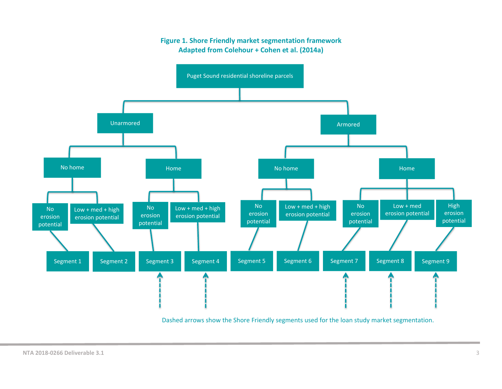#### **Figure 1. Shore Friendly market segmentation framework Adapted from Colehour + Cohen et al. (2014a) Shore Friendly parcel segmentation**

<span id="page-3-0"></span>

Dashed arrows show the Shore Friendly segments used for the loan study market segmentation.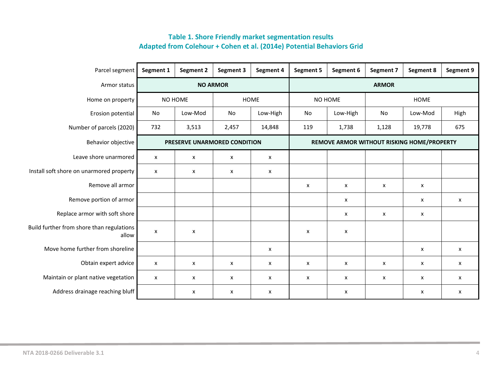<span id="page-4-0"></span>

| Parcel segment                                     | Segment 1                 | Segment 2                    | Segment 3 | Segment 4       | <b>Segment 5</b>          | Segment 6                                  | <b>Segment 7</b> | Segment 8   | Segment 9 |
|----------------------------------------------------|---------------------------|------------------------------|-----------|-----------------|---------------------------|--------------------------------------------|------------------|-------------|-----------|
| Armor status                                       |                           | <b>NO ARMOR</b>              |           |                 | <b>ARMOR</b>              |                                            |                  |             |           |
| Home on property                                   |                           | NO HOME                      |           | HOME<br>NO HOME |                           |                                            |                  | <b>HOME</b> |           |
| Erosion potential                                  | No                        | Low-Mod                      | <b>No</b> | Low-High        | No                        | Low-High                                   | No               | Low-Mod     | High      |
| Number of parcels (2020)                           | 732                       | 3,513                        | 2,457     | 14,848          | 119                       | 1,738                                      | 1,128            | 19,778      | 675       |
| Behavior objective                                 |                           | PRESERVE UNARMORED CONDITION |           |                 |                           | REMOVE ARMOR WITHOUT RISKING HOME/PROPERTY |                  |             |           |
| Leave shore unarmored                              | X                         | X                            | X         | X               |                           |                                            |                  |             |           |
| Install soft shore on unarmored property           | $\boldsymbol{\mathsf{x}}$ | X                            | X         | X               |                           |                                            |                  |             |           |
| Remove all armor                                   |                           |                              |           |                 | x                         | X                                          | X                | x           |           |
| Remove portion of armor                            |                           |                              |           |                 |                           | X                                          |                  | x           | X         |
| Replace armor with soft shore                      |                           |                              |           |                 |                           | X                                          | X                | X           |           |
| Build further from shore than regulations<br>allow | $\boldsymbol{\mathsf{x}}$ | X                            |           |                 | $\boldsymbol{\mathsf{x}}$ | $\pmb{\times}$                             |                  |             |           |
| Move home further from shoreline                   |                           |                              |           | X               |                           |                                            |                  | x           | x         |
| Obtain expert advice                               | $\boldsymbol{\mathsf{x}}$ | X                            | X         | X               | X                         | X                                          | X                | X           | X         |
| Maintain or plant native vegetation                | $\boldsymbol{\mathsf{x}}$ | X                            | X         | X               | x                         | X                                          | X                | x           | X         |
| Address drainage reaching bluff                    |                           | X                            | x         | X               |                           | X                                          |                  | x           | X         |

### **Table 1. Shore Friendly market segmentation results Adapted from Colehour + Cohen et al. (2014e) Potential Behaviors Grid**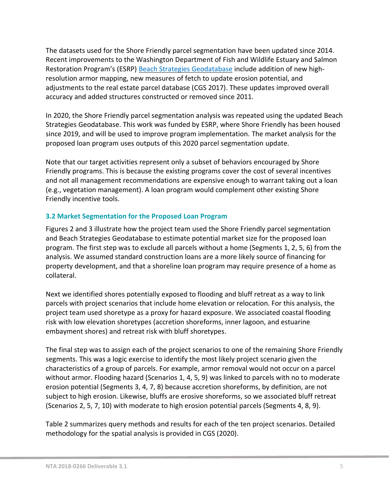The datasets used for the Shore Friendly parcel segmentation have been updated since 2014. Recent improvements to the Washington Department of Fish and Wildlife Estuary and Salmon Restoration Program's (ESRP) [Beach Strategies Geodatabase](https://geodataservices.wdfw.wa.gov/arcgis/rest/services/HP_BeachStrategies/BeachStrategies/MapServer) include addition of new highresolution armor mapping, new measures of fetch to update erosion potential, and adjustments to the real estate parcel database (CGS 2017). These updates improved overall accuracy and added structures constructed or removed since 2011.

In 2020, the Shore Friendly parcel segmentation analysis was repeated using the updated Beach Strategies Geodatabase. This work was funded by ESRP, where Shore Friendly has been housed since 2019, and will be used to improve program implementation. The market analysis for the proposed loan program uses outputs of this 2020 parcel segmentation update.

Note that our target activities represent only a subset of behaviors encouraged by Shore Friendly programs. This is because the existing programs cover the cost of several incentives and not all management recommendations are expensive enough to warrant taking out a loan (e.g., vegetation management). A loan program would complement other existing Shore Friendly incentive tools.

#### <span id="page-5-0"></span>**3.2 Market Segmentation for the Proposed Loan Program**

Figures 2 and 3 illustrate how the project team used the Shore Friendly parcel segmentation and Beach Strategies Geodatabase to estimate potential market size for the proposed loan program. The first step was to exclude all parcels without a home (Segments 1, 2, 5, 6) from the analysis. We assumed standard construction loans are a more likely source of financing for property development, and that a shoreline loan program may require presence of a home as collateral.

Next we identified shores potentially exposed to flooding and bluff retreat as a way to link parcels with project scenarios that include home elevation or relocation. For this analysis, the project team used shoretype as a proxy for hazard exposure. We associated coastal flooding risk with low elevation shoretypes (accretion shoreforms, inner lagoon, and estuarine embayment shores) and retreat risk with bluff shoretypes.

The final step was to assign each of the project scenarios to one of the remaining Shore Friendly segments. This was a logic exercise to identify the most likely project scenario given the characteristics of a group of parcels. For example, armor removal would not occur on a parcel without armor. Flooding hazard (Scenarios 1, 4, 5, 9) was linked to parcels with no to moderate erosion potential (Segments 3, 4, 7, 8) because accretion shoreforms, by definition, are not subject to high erosion. Likewise, bluffs are erosive shoreforms, so we associated bluff retreat (Scenarios 2, 5, 7, 10) with moderate to high erosion potential parcels (Segments 4, 8, 9).

Table 2 summarizes query methods and results for each of the ten project scenarios. Detailed methodology for the spatial analysis is provided in CGS (2020).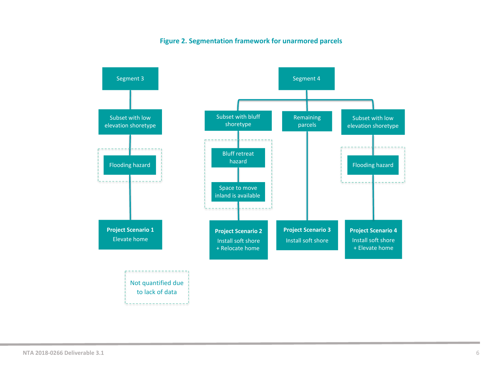#### **Figure 2. Segmentation framework for unarmored parcels**

<span id="page-6-0"></span>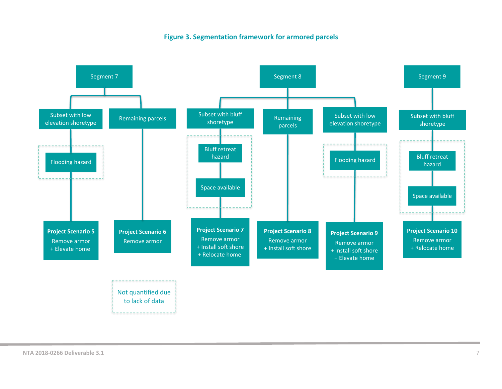#### **Figure 3. Segmentation framework for armored parcels**

<span id="page-7-0"></span>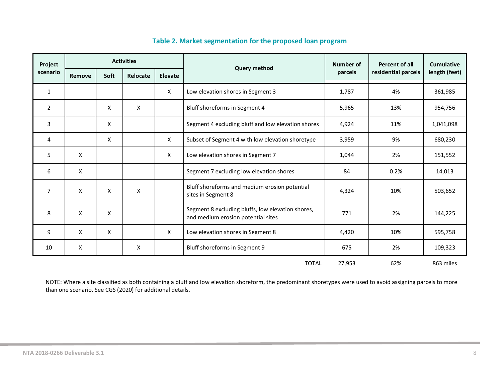<span id="page-8-0"></span>

| Project        | <b>Activities</b> |             |          |         |                                                                                                | Number of | Percent of all      | <b>Cumulative</b> |
|----------------|-------------------|-------------|----------|---------|------------------------------------------------------------------------------------------------|-----------|---------------------|-------------------|
| scenario       | Remove            | <b>Soft</b> | Relocate | Elevate | <b>Query method</b>                                                                            | parcels   | residential parcels | length (feet)     |
| 1              |                   |             |          | X       | Low elevation shores in Segment 3                                                              | 1,787     | 4%                  | 361,985           |
| $\overline{2}$ |                   | X           | Χ        |         | Bluff shoreforms in Segment 4                                                                  | 5,965     | 13%                 | 954,756           |
| 3              |                   | X           |          |         | Segment 4 excluding bluff and low elevation shores                                             | 4,924     | 11%                 | 1,041,098         |
| 4              |                   | X           |          | X       | Subset of Segment 4 with low elevation shoretype                                               | 3,959     | 9%                  | 680,230           |
| 5              | X                 |             |          | X       | Low elevation shores in Segment 7<br>1,044                                                     |           | 2%                  | 151,552           |
| 6              | X                 |             |          |         | Segment 7 excluding low elevation shores                                                       | 84        | 0.2%                | 14,013            |
| 7              | X                 | X           | X        |         | Bluff shoreforms and medium erosion potential<br>4,324<br>sites in Segment 8                   |           | 10%                 | 503,652           |
| 8              | X                 | Χ           |          |         | Segment 8 excluding bluffs, low elevation shores,<br>771<br>and medium erosion potential sites |           | 2%                  | 144,225           |
| 9              | X                 | X           |          | X       | Low elevation shores in Segment 8<br>10%<br>4,420                                              |           |                     | 595,758           |
| 10             | Χ                 |             | Χ        |         | Bluff shoreforms in Segment 9                                                                  | 675       | 2%                  | 109,323           |
|                |                   |             |          |         | <b>TOTAL</b>                                                                                   | 27,953    | 62%                 | 863 miles         |

### **Table 2. Market segmentation for the proposed loan program**

NOTE: Where a site classified as both containing a bluff and low elevation shoreform, the predominant shoretypes were used to avoid assigning parcels to more than one scenario. See CGS (2020) for additional details.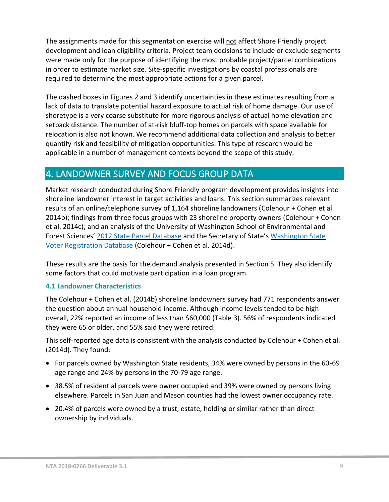The assignments made for this segmentation exercise will not affect Shore Friendly project development and loan eligibility criteria. Project team decisions to include or exclude segments were made only for the purpose of identifying the most probable project/parcel combinations in order to estimate market size. Site-specific investigations by coastal professionals are required to determine the most appropriate actions for a given parcel.

The dashed boxes in Figures 2 and 3 identify uncertainties in these estimates resulting from a lack of data to translate potential hazard exposure to actual risk of home damage. Our use of shoretype is a very coarse substitute for more rigorous analysis of actual home elevation and setback distance. The number of at-risk bluff-top homes on parcels with space available for relocation is also not known. We recommend additional data collection and analysis to better quantify risk and feasibility of mitigation opportunities. This type of research would be applicable in a number of management contexts beyond the scope of this study.

## <span id="page-9-0"></span>4. LANDOWNER SURVEY AND FOCUS GROUP DATA

Market research conducted during Shore Friendly program development provides insights into shoreline landowner interest in target activities and loans. This section summarizes relevant results of an online/telephone survey of 1,164 shoreline landowners (Colehour + Cohen et al. 2014b); findings from three focus groups with 23 shoreline property owners (Colehour + Cohen et al. 2014c); and an analysis of the University of Washington School of Environmental and Forest Sciences' [2012 State Parcel Database](http://depts.washington.edu/wagis/projects/parcels/metadata/v2012_e92_r1/) and the Secretary of State's [Washington State](https://www.sos.wa.gov/elections/vrdb/default.aspx)  [Voter Registration Database](https://www.sos.wa.gov/elections/vrdb/default.aspx) (Colehour + Cohen et al. 2014d).

These results are the basis for the demand analysis presented in Section 5. They also identify some factors that could motivate participation in a loan program.

### <span id="page-9-1"></span>**4.1 Landowner Characteristics**

The Colehour + Cohen et al. (2014b) shoreline landowners survey had 771 respondents answer the question about annual household income. Although income levels tended to be high overall, 22% reported an income of less than \$60,000 (Table 3). 56% of respondents indicated they were 65 or older, and 55% said they were retired.

This self-reported age data is consistent with the analysis conducted by Colehour + Cohen et al. (2014d). They found:

- For parcels owned by Washington State residents, 34% were owned by persons in the 60-69 age range and 24% by persons in the 70-79 age range.
- 38.5% of residential parcels were owner occupied and 39% were owned by persons living elsewhere. Parcels in San Juan and Mason counties had the lowest owner occupancy rate.
- 20.4% of parcels were owned by a trust, estate, holding or similar rather than direct ownership by individuals.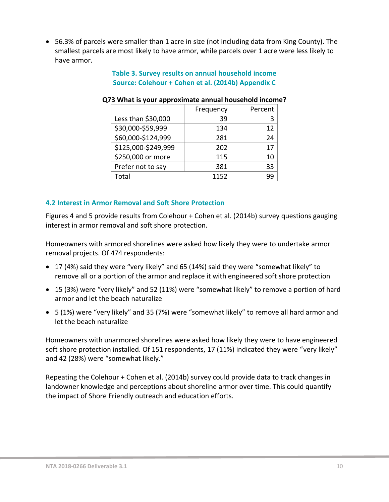<span id="page-10-1"></span>• 56.3% of parcels were smaller than 1 acre in size (not including data from King County). The smallest parcels are most likely to have armor, while parcels over 1 acre were less likely to have armor.

### **Table 3. Survey results on annual household income Source: Colehour + Cohen et al. (2014b) Appendix C**

|                     | Frequency | Percent |
|---------------------|-----------|---------|
| Less than \$30,000  | 39        | 3       |
| \$30,000-\$59,999   | 134       | 12      |
| \$60,000-\$124,999  | 281       | 24      |
| \$125,000-\$249,999 | 202       | 17      |
| \$250,000 or more   | 115       | 10      |
| Prefer not to say   | 381       | 33      |
| Total               | 1152      | qq      |

#### **Q73 What is your approximate annual household income?**

#### <span id="page-10-0"></span>**4.2 Interest in Armor Removal and Soft Shore Protection**

Figures 4 and 5 provide results from Colehour + Cohen et al. (2014b) survey questions gauging interest in armor removal and soft shore protection.

Homeowners with armored shorelines were asked how likely they were to undertake armor removal projects. Of 474 respondents:

- 17 (4%) said they were "very likely" and 65 (14%) said they were "somewhat likely" to remove all or a portion of the armor and replace it with engineered soft shore protection
- 15 (3%) were "very likely" and 52 (11%) were "somewhat likely" to remove a portion of hard armor and let the beach naturalize
- 5 (1%) were "very likely" and 35 (7%) were "somewhat likely" to remove all hard armor and let the beach naturalize

Homeowners with unarmored shorelines were asked how likely they were to have engineered soft shore protection installed. Of 151 respondents, 17 (11%) indicated they were "very likely" and 42 (28%) were "somewhat likely."

Repeating the Colehour + Cohen et al. (2014b) survey could provide data to track changes in landowner knowledge and perceptions about shoreline armor over time. This could quantify the impact of Shore Friendly outreach and education efforts.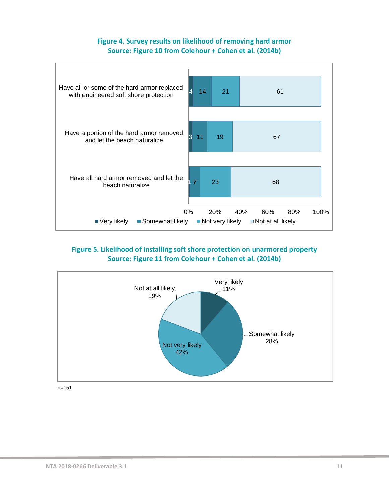### **Figure 4. Survey results on likelihood of removing hard armor Source: Figure 10 from Colehour + Cohen et al. (2014b)**

<span id="page-11-0"></span>

### <span id="page-11-1"></span>**Figure 5. Likelihood of installing soft shore protection on unarmored property Source: Figure 11 from Colehour + Cohen et al. (2014b)**



n=151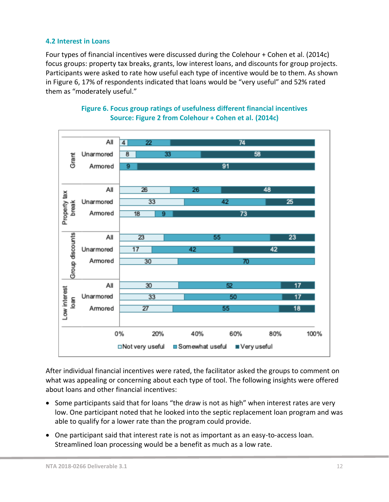#### <span id="page-12-0"></span>**4.2 Interest in Loans**

Four types of financial incentives were discussed during the Colehour + Cohen et al. (2014c) focus groups: property tax breaks, grants, low interest loans, and discounts for group projects. Participants were asked to rate how useful each type of incentive would be to them. As shown in Figure 6, 17% of respondents indicated that loans would be "very useful" and 52% rated them as "moderately useful."

<span id="page-12-1"></span>

**Figure 6. Focus group ratings of usefulness different financial incentives Source: Figure 2 from Colehour + Cohen et al. (2014c)**

After individual financial incentives were rated, the facilitator asked the groups to comment on what was appealing or concerning about each type of tool. The following insights were offered about loans and other financial incentives:

- Some participants said that for loans "the draw is not as high" when interest rates are very low. One participant noted that he looked into the septic replacement loan program and was able to qualify for a lower rate than the program could provide.
- One participant said that interest rate is not as important as an easy-to-access loan. Streamlined loan processing would be a benefit as much as a low rate.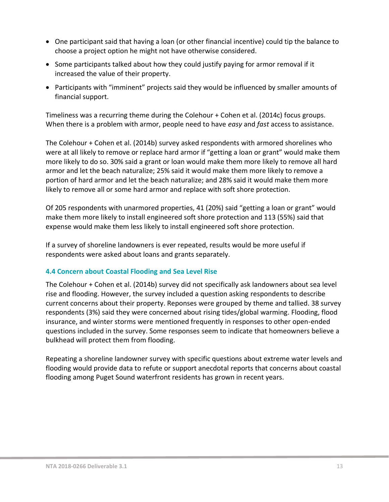- One participant said that having a loan (or other financial incentive) could tip the balance to choose a project option he might not have otherwise considered.
- Some participants talked about how they could justify paying for armor removal if it increased the value of their property.
- Participants with "imminent" projects said they would be influenced by smaller amounts of financial support.

Timeliness was a recurring theme during the Colehour + Cohen et al. (2014c) focus groups. When there is a problem with armor, people need to have *easy* and *fast* access to assistance.

The Colehour + Cohen et al. (2014b) survey asked respondents with armored shorelines who were at all likely to remove or replace hard armor if "getting a loan or grant" would make them more likely to do so. 30% said a grant or loan would make them more likely to remove all hard armor and let the beach naturalize; 25% said it would make them more likely to remove a portion of hard armor and let the beach naturalize; and 28% said it would make them more likely to remove all or some hard armor and replace with soft shore protection.

Of 205 respondents with unarmored properties, 41 (20%) said "getting a loan or grant" would make them more likely to install engineered soft shore protection and 113 (55%) said that expense would make them less likely to install engineered soft shore protection.

If a survey of shoreline landowners is ever repeated, results would be more useful if respondents were asked about loans and grants separately.

#### <span id="page-13-0"></span>**4.4 Concern about Coastal Flooding and Sea Level Rise**

The Colehour + Cohen et al. (2014b) survey did not specifically ask landowners about sea level rise and flooding. However, the survey included a question asking respondents to describe current concerns about their property. Reponses were grouped by theme and tallied. 38 survey respondents (3%) said they were concerned about rising tides/global warming. Flooding, flood insurance, and winter storms were mentioned frequently in responses to other open-ended questions included in the survey. Some responses seem to indicate that homeowners believe a bulkhead will protect them from flooding.

Repeating a shoreline landowner survey with specific questions about extreme water levels and flooding would provide data to refute or support anecdotal reports that concerns about coastal flooding among Puget Sound waterfront residents has grown in recent years.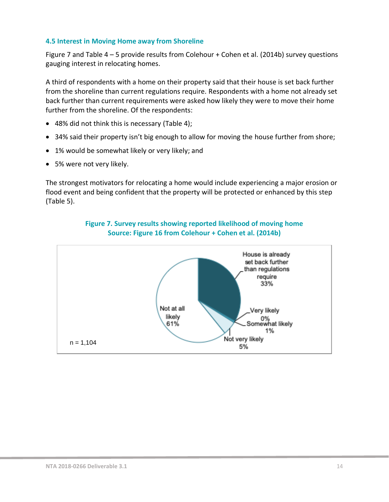#### <span id="page-14-0"></span>**4.5 Interest in Moving Home away from Shoreline**

Figure 7 and Table 4 – 5 provide results from Colehour + Cohen et al. (2014b) survey questions gauging interest in relocating homes.

A third of respondents with a home on their property said that their house is set back further from the shoreline than current regulations require. Respondents with a home not already set back further than current requirements were asked how likely they were to move their home further from the shoreline. Of the respondents:

- 48% did not think this is necessary (Table 4);
- 34% said their property isn't big enough to allow for moving the house further from shore;
- 1% would be somewhat likely or very likely; and
- 5% were not very likely.

The strongest motivators for relocating a home would include experiencing a major erosion or flood event and being confident that the property will be protected or enhanced by this step (Table 5).

<span id="page-14-1"></span>

#### **Figure 7. Survey results showing reported likelihood of moving home Source: Figure 16 from Colehour + Cohen et al. (2014b)**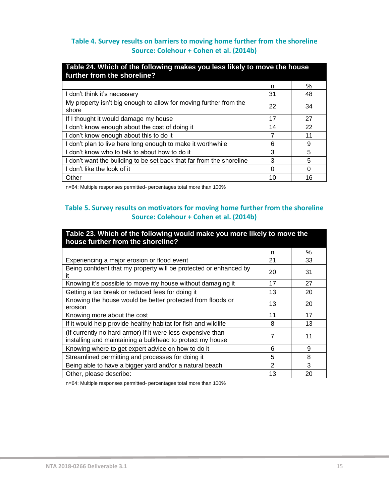### <span id="page-15-0"></span>**Table 4. Survey results on barriers to moving home further from the shoreline Source: Colehour + Cohen et al. (2014b)**

| Table 24. Which of the following makes you less likely to move the house<br>further from the shoreline? |    |    |
|---------------------------------------------------------------------------------------------------------|----|----|
|                                                                                                         | n  | %  |
| I don't think it's necessary                                                                            | 31 | 48 |
| My property isn't big enough to allow for moving further from the<br>shore                              | 22 | 34 |
| If I thought it would damage my house                                                                   | 17 | 27 |
| I don't know enough about the cost of doing it                                                          | 14 | 22 |
| I don't know enough about this to do it                                                                 | 7  | 11 |
| I don't plan to live here long enough to make it worthwhile                                             | 6  | 9  |
| don't know who to talk to about how to do it                                                            | 3  | 5  |
| I don't want the building to be set back that far from the shoreline                                    | 3  | 5  |
| l don't like the look of it                                                                             | U  | ∩  |
| Other                                                                                                   | 10 | 16 |

n=64; Multiple responses permitted- percentages total more than 100%

### <span id="page-15-1"></span>**Table 5. Survey results on motivators for moving home further from the shoreline Source: Colehour + Cohen et al. (2014b)**

| Table 23. Which of the following would make you more likely to move the<br>house further from the shoreline?             |    |               |  |  |  |  |  |
|--------------------------------------------------------------------------------------------------------------------------|----|---------------|--|--|--|--|--|
|                                                                                                                          | n  | $\frac{0}{2}$ |  |  |  |  |  |
| Experiencing a major erosion or flood event                                                                              | 21 | 33            |  |  |  |  |  |
| Being confident that my property will be protected or enhanced by                                                        | 20 | 31            |  |  |  |  |  |
| Knowing it's possible to move my house without damaging it                                                               | 17 | 27            |  |  |  |  |  |
| Getting a tax break or reduced fees for doing it                                                                         | 13 | 20            |  |  |  |  |  |
| Knowing the house would be better protected from floods or<br>erosion                                                    | 13 | 20            |  |  |  |  |  |
| Knowing more about the cost                                                                                              | 11 | 17            |  |  |  |  |  |
| If it would help provide healthy habitat for fish and wildlife                                                           | 8  | 13            |  |  |  |  |  |
| (If currently no hard armor) If it were less expensive than<br>installing and maintaining a bulkhead to protect my house | 7  | 11            |  |  |  |  |  |
| Knowing where to get expert advice on how to do it                                                                       | 6  | 9             |  |  |  |  |  |
| Streamlined permitting and processes for doing it                                                                        | 5  | 8             |  |  |  |  |  |
| Being able to have a bigger yard and/or a natural beach                                                                  | 2  | 3             |  |  |  |  |  |
| Other, please describe:                                                                                                  | 13 | 20            |  |  |  |  |  |

n=64; Multiple responses permitted- percentages total more than 100%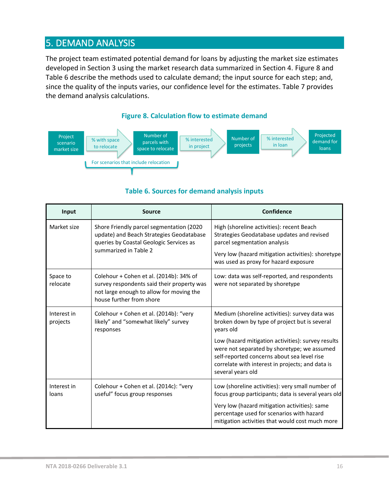## <span id="page-16-0"></span>5. DEMAND ANALYSIS

The project team estimated potential demand for loans by adjusting the market size estimates developed in Section 3 using the market research data summarized in Section 4. Figure 8 and Table 6 describe the methods used to calculate demand; the input source for each step; and, since the quality of the inputs varies, our confidence level for the estimates. Table 7 provides the demand analysis calculations.

#### **Figure 8. Calculation flow to estimate demand**

<span id="page-16-1"></span>

#### **Table 6. Sources for demand analysis inputs**

<span id="page-16-2"></span>

| Input                   | <b>Source</b>                                                                                                                                                 | Confidence                                                                                                                                                                                                                                               |
|-------------------------|---------------------------------------------------------------------------------------------------------------------------------------------------------------|----------------------------------------------------------------------------------------------------------------------------------------------------------------------------------------------------------------------------------------------------------|
| Market size             | Shore Friendly parcel segmentation (2020<br>update) and Beach Strategies Geodatabase<br>queries by Coastal Geologic Services as<br>summarized in Table 2      | High (shoreline activities): recent Beach<br>Strategies Geodatabase updates and revised<br>parcel segmentation analysis<br>Very low (hazard mitigation activities): shoretype<br>was used as proxy for hazard exposure                                   |
| Space to<br>relocate    | Colehour + Cohen et al. (2014b): 34% of<br>survey respondents said their property was<br>not large enough to allow for moving the<br>house further from shore | Low: data was self-reported, and respondents<br>were not separated by shoretype                                                                                                                                                                          |
| Interest in<br>projects | Colehour + Cohen et al. (2014b): "very<br>likely" and "somewhat likely" survey<br>responses                                                                   | Medium (shoreline activities): survey data was<br>broken down by type of project but is several<br>years old                                                                                                                                             |
|                         |                                                                                                                                                               | Low (hazard mitigation activities): survey results<br>were not separated by shoretype; we assumed<br>self-reported concerns about sea level rise<br>correlate with interest in projects; and data is<br>several years old                                |
| Interest in<br>loans    | Colehour + Cohen et al. (2014c): "very<br>useful" focus group responses                                                                                       | Low (shoreline activities): very small number of<br>focus group participants; data is several years old<br>Very low (hazard mitigation activities): same<br>percentage used for scenarios with hazard<br>mitigation activities that would cost much more |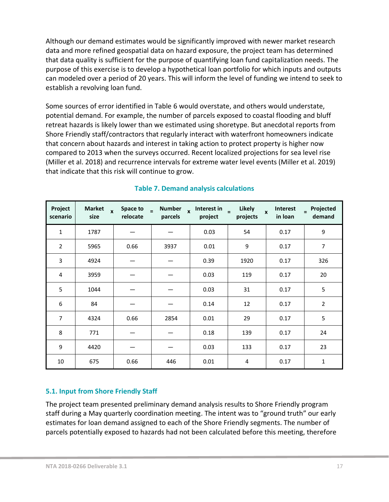Although our demand estimates would be significantly improved with newer market research data and more refined geospatial data on hazard exposure, the project team has determined that data quality is sufficient for the purpose of quantifying loan fund capitalization needs. The purpose of this exercise is to develop a hypothetical loan portfolio for which inputs and outputs can modeled over a period of 20 years. This will inform the level of funding we intend to seek to establish a revolving loan fund.

Some sources of error identified in Table 6 would overstate, and others would understate, potential demand. For example, the number of parcels exposed to coastal flooding and bluff retreat hazards is likely lower than we estimated using shoretype. But anecdotal reports from Shore Friendly staff/contractors that regularly interact with waterfront homeowners indicate that concern about hazards and interest in taking action to protect property is higher now compared to 2013 when the surveys occurred. Recent localized projections for sea level rise (Miller et al. 2018) and recurrence intervals for extreme water level events (Miller et al. 2019) that indicate that this risk will continue to grow.

<span id="page-17-1"></span>

| Project<br>scenario | <b>Market</b><br>$\mathbf{x}$<br>size | Space to<br>relocate | <b>Number</b><br>Ð<br>parcels | $x$ Interest in $=$<br>project | Likely<br>projects | Interest<br>$\mathbf{x}$<br>in Ioan | Projected<br>$\equiv$<br>demand |
|---------------------|---------------------------------------|----------------------|-------------------------------|--------------------------------|--------------------|-------------------------------------|---------------------------------|
| 1                   | 1787                                  |                      |                               | 0.03                           | 54                 | 0.17                                | 9                               |
| $\overline{2}$      | 5965                                  | 0.66                 | 3937                          | 0.01                           | 9                  | 0.17                                | $\boldsymbol{7}$                |
| 3                   | 4924                                  |                      |                               | 0.39                           | 1920               | 0.17                                | 326                             |
| 4                   | 3959                                  |                      |                               | 0.03                           | 119                | 0.17                                | 20                              |
| 5                   | 1044                                  |                      |                               | 0.03                           | 31                 | 0.17                                | 5                               |
| 6                   | 84                                    |                      |                               | 0.14                           | 12                 | 0.17                                | $\overline{2}$                  |
| 7                   | 4324                                  | 0.66                 | 2854                          | 0.01                           | 29                 | 0.17                                | 5                               |
| 8                   | 771                                   |                      |                               | 0.18                           | 139                | 0.17                                | 24                              |
| 9                   | 4420                                  |                      |                               | 0.03                           | 133                | 0.17                                | 23                              |
| 10                  | 675                                   | 0.66                 | 446                           | 0.01                           | $\overline{4}$     | 0.17                                | $\mathbf{1}$                    |

## **Table 7. Demand analysis calculations**

### <span id="page-17-0"></span>**5.1. Input from Shore Friendly Staff**

The project team presented preliminary demand analysis results to Shore Friendly program staff during a May quarterly coordination meeting. The intent was to "ground truth" our early estimates for loan demand assigned to each of the Shore Friendly segments. The number of parcels potentially exposed to hazards had not been calculated before this meeting, therefore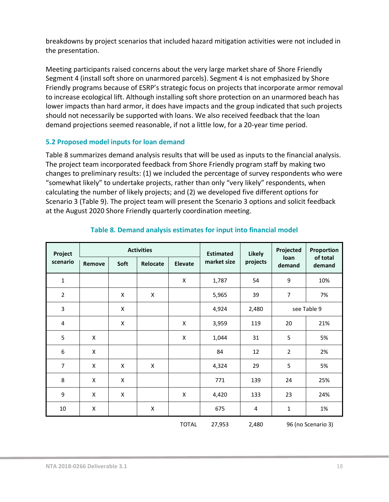breakdowns by project scenarios that included hazard mitigation activities were not included in the presentation.

Meeting participants raised concerns about the very large market share of Shore Friendly Segment 4 (install soft shore on unarmored parcels). Segment 4 is not emphasized by Shore Friendly programs because of ESRP's strategic focus on projects that incorporate armor removal to increase ecological lift. Although installing soft shore protection on an unarmored beach has lower impacts than hard armor, it does have impacts and the group indicated that such projects should not necessarily be supported with loans. We also received feedback that the loan demand projections seemed reasonable, if not a little low, for a 20-year time period.

#### <span id="page-18-0"></span>**5.2 Proposed model inputs for loan demand**

Table 8 summarizes demand analysis results that will be used as inputs to the financial analysis. The project team incorporated feedback from Shore Friendly program staff by making two changes to preliminary results: (1) we included the percentage of survey respondents who were "somewhat likely" to undertake projects, rather than only "very likely" respondents, when calculating the number of likely projects; and (2) we developed five different options for Scenario 3 (Table 9). The project team will present the Scenario 3 options and solicit feedback at the August 2020 Shore Friendly quarterly coordination meeting.

<span id="page-18-1"></span>

| Project        |        |      | <b>Activities</b> |                | <b>Estimated</b> | <b>Likely</b> | Projected      | Proportion         |
|----------------|--------|------|-------------------|----------------|------------------|---------------|----------------|--------------------|
| scenario       | Remove | Soft | Relocate          | <b>Elevate</b> | market size      | projects      | loan<br>demand | of total<br>demand |
| $\mathbf 1$    |        |      |                   | X              | 1,787            | 54            | 9              | 10%                |
| $\overline{2}$ |        | X    | X                 |                | 5,965            | 39            | $\overline{7}$ | 7%                 |
| 3              |        | X    |                   |                | 4,924            | 2,480         |                | see Table 9        |
| 4              |        | X    |                   | X              | 3,959            | 119           | 20             | 21%                |
| 5              | X      |      |                   | X              | 1,044            | 31            | 5              | 5%                 |
| 6              | X      |      |                   |                | 84               | 12            | $\overline{2}$ | 2%                 |
| $\overline{7}$ | X      | X    | X                 |                | 4,324            | 29            | 5              | 5%                 |
| 8              | X      | X    |                   |                | 771              | 139           | 24             | 25%                |
| 9              | X      | X    |                   | X              | 4,420            | 133           | 23             | 24%                |
| 10             | X      |      | X                 |                | 675              | 4             | $\mathbf 1$    | 1%                 |
|                |        |      |                   | <b>TOTAL</b>   | 27,953           | 2,480         |                | 96 (no Scenario 3) |

### **Table 8. Demand analysis estimates for input into financial model**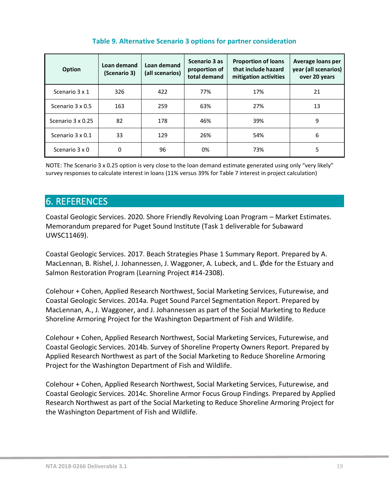<span id="page-19-1"></span>

| Option            | Loan demand<br>(Scenario 3) | Loan demand<br>(all scenarios) | Scenario 3 as<br>proportion of<br>total demand | <b>Proportion of loans</b><br>that include hazard<br>mitigation activities | Average loans per<br>year (all scenarios)<br>over 20 years |
|-------------------|-----------------------------|--------------------------------|------------------------------------------------|----------------------------------------------------------------------------|------------------------------------------------------------|
| Scenario 3 x 1    | 326                         | 422                            | 77%                                            | 17%                                                                        | 21                                                         |
| Scenario 3 x 0.5  | 163                         | 259                            | 63%                                            | 27%                                                                        | 13                                                         |
| Scenario 3 x 0.25 | 82                          | 178                            | 46%                                            | 39%                                                                        | 9                                                          |
| Scenario 3 x 0.1  | 33                          | 129                            | 26%                                            | 54%                                                                        | 6                                                          |
| Scenario 3 x 0    | 0                           | 96                             | 0%                                             | 73%                                                                        | 5                                                          |

#### **Table 9. Alternative Scenario 3 options for partner consideration**

NOTE: The Scenario 3 x 0.25 option is very close to the loan demand estimate generated using only "very likely" survey responses to calculate interest in loans (11% versus 39% for Table 7 interest in project calculation)

## <span id="page-19-0"></span>6. REFERENCES

Coastal Geologic Services. 2020. Shore Friendly Revolving Loan Program – Market Estimates. Memorandum prepared for Puget Sound Institute (Task 1 deliverable for Subaward UWSC11469).

Coastal Geologic Services. 2017. Beach Strategies Phase 1 Summary Report. Prepared by A. MacLennan, B. Rishel, J. Johannessen, J. Waggoner, A. Lubeck, and L. Øde for the Estuary and Salmon Restoration Program (Learning Project #14-2308).

Colehour + Cohen, Applied Research Northwest, Social Marketing Services, Futurewise, and Coastal Geologic Services. 2014a. Puget Sound Parcel Segmentation Report. Prepared by MacLennan, A., J. Waggoner, and J. Johannessen as part of the Social Marketing to Reduce Shoreline Armoring Project for the Washington Department of Fish and Wildlife.

Colehour + Cohen, Applied Research Northwest, Social Marketing Services, Futurewise, and Coastal Geologic Services. 2014b. Survey of Shoreline Property Owners Report. Prepared by Applied Research Northwest as part of the Social Marketing to Reduce Shoreline Armoring Project for the Washington Department of Fish and Wildlife.

Colehour + Cohen, Applied Research Northwest, Social Marketing Services, Futurewise, and Coastal Geologic Services. 2014c. Shoreline Armor Focus Group Findings. Prepared by Applied Research Northwest as part of the Social Marketing to Reduce Shoreline Armoring Project for the Washington Department of Fish and Wildlife.